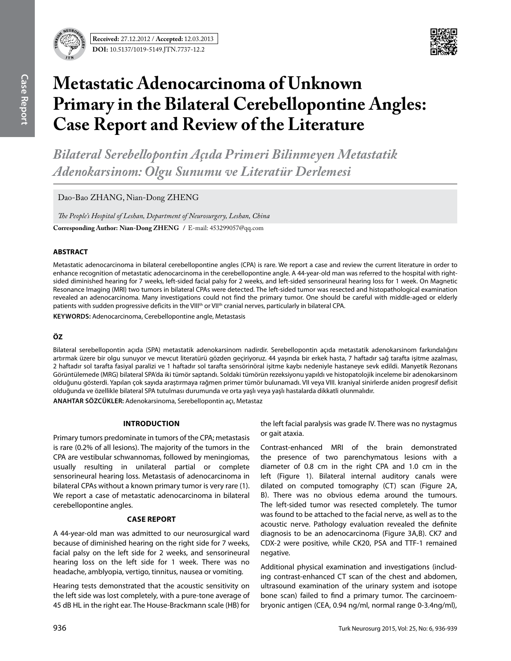



# **Metastatic Adenocarcinoma of Unknown Primary in the Bilateral Cerebellopontine Angles: Case Report and Review of the Literature**

*Bilateral Serebellopontin Açıda Primeri Bilinmeyen Metastatik Adenokarsinom: Olgu Sunumu ve Literatür Derlemesi* 

Dao-Bao ZHANG, Nian-Dong ZHENG

*The People's Hospital of Leshan, Department of Neurosurgery, Leshan, China* **Corresponding Author: Nian-Dong Zheng /** E-mail: 453299057@qq.com

## **ABSTRACT**

Metastatic adenocarcinoma in bilateral cerebellopontine angles (CPA) is rare. We report a case and review the current literature in order to enhance recognition of metastatic adenocarcinoma in the cerebellopontine angle. A 44-year-old man was referred to the hospital with rightsided diminished hearing for 7 weeks, left-sided facial palsy for 2 weeks, and left-sided sensorineural hearing loss for 1 week. On Magnetic Resonance Imaging (MRI) two tumors in bilateral CPAs were detected. The left-sided tumor was resected and histopathological examination revealed an adenocarcinoma. Many investigations could not find the primary tumor. One should be careful with middle-aged or elderly patients with sudden progressive deficits in the VIII<sup>th</sup> or VII<sup>th</sup> cranial nerves, particularly in bilateral CPA.

**Keywords:** Adenocarcinoma, Cerebellopontine angle, Metastasis

## **ÖZ**

Bilateral serebellopontin açıda (SPA) metastatik adenokarsinom nadirdir. Serebellopontin açıda metastatik adenokarsinom farkındalığını artırmak üzere bir olgu sunuyor ve mevcut literatürü gözden geçiriyoruz. 44 yaşında bir erkek hasta, 7 haftadır sağ tarafta işitme azalması, 2 haftadır sol tarafta fasiyal paralizi ve 1 haftadır sol tarafta sensörinöral işitme kaybı nedeniyle hastaneye sevk edildi. Manyetik Rezonans Görüntülemede (MRG) bilateral SPA'da iki tümör saptandı. Soldaki tümörün rezeksiyonu yapıldı ve histopatolojik inceleme bir adenokarsinom olduğunu gösterdi. Yapılan çok sayıda araştırmaya rağmen primer tümör bulunamadı. VII veya VIII. kraniyal sinirlerde aniden progresif defisit olduğunda ve özellikle bilateral SPA tutulması durumunda ve orta yaşlı veya yaşlı hastalarda dikkatli olunmalıdır.

**ANAHTAR SÖZCÜKLER:** Adenokarsinoma, Serebellopontin açı, Metastaz

## **Introduction**

Primary tumors predominate in tumors of the CPA; metastasis is rare (0.2% of all lesions). The majority of the tumors in the CPA are vestibular schwannomas, followed by meningiomas, usually resulting in unilateral partial or complete sensorineural hearing loss. Metastasis of adenocarcinoma in bilateral CPAs without a known primary tumor is very rare (1). We report a case of metastatic adenocarcinoma in bilateral cerebellopontine angles.

## **Case report**

A 44-year-old man was admitted to our neurosurgical ward because of diminished hearing on the right side for 7 weeks, facial palsy on the left side for 2 weeks, and sensorineural hearing loss on the left side for 1 week. There was no headache, amblyopia, vertigo, tinnitus, nausea or vomiting.

Hearing tests demonstrated that the acoustic sensitivity on the left side was lost completely, with a pure-tone average of 45 dB HL in the right ear. The House-Brackmann scale (HB) for the left facial paralysis was grade IV. There was no nystagmus or gait ataxia.

Contrast-enhanced MRI of the brain demonstrated the presence of two parenchymatous lesions with a diameter of 0.8 cm in the right CPA and 1.0 cm in the left (Figure 1). Bilateral internal auditory canals were dilated on computed tomography (CT) scan (Figure 2a, b). There was no obvious edema around the tumours. The left-sided tumor was resected completely. The tumor was found to be attached to the facial nerve, as well as to the acoustic nerve. Pathology evaluation revealed the definite diagnosis to be an adenocarcinoma (Figure 3A,B). CK7 and CDX-2 were positive, while CK20, PSA and TTF-1 remained negative.

Additional physical examination and investigations (including contrast-enhanced CT scan of the chest and abdomen, ultrasound examination of the urinary system and isotope bone scan) failed to find a primary tumor. The carcinoembryonic antigen (CEA, 0.94 ng/ml, normal range 0-3.4ng/ml),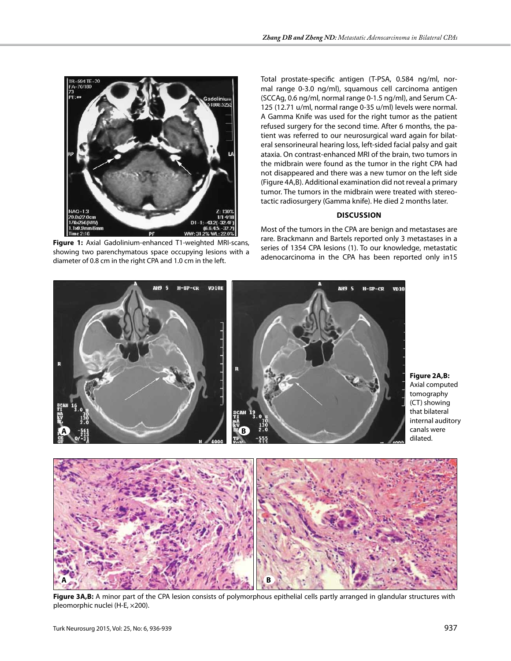

**Figure 1:** Axial Gadolinium-enhanced T1-weighted MRI-scans, showing two parenchymatous space occupying lesions with a diameter of 0.8 cm in the right CPA and 1.0 cm in the left.

Total prostate-specific antigen (T-PSA, 0.584 ng/ml, normal range 0-3.0 ng/ml), squamous cell carcinoma antigen (SCCAg, 0.6 ng/ml, normal range 0-1.5 ng/ml), and Serum CA-125 (12.71 u/ml, normal range 0-35 u/ml) levels were normal. A Gamma Knife was used for the right tumor as the patient refused surgery for the second time. After 6 months, the patient was referred to our neurosurgical ward again for bilateral sensorineural hearing loss, left-sided facial palsy and gait ataxia. On contrast-enhanced MRI of the brain, two tumors in the midbrain were found as the tumor in the right CPA had not disappeared and there was a new tumor on the left side (Figure 4a,b). Additional examination did not reveal a primary tumor. The tumors in the midbrain were treated with stereotactic radiosurgery (Gamma knife). He died 2 months later.

## **Discussion**

Most of the tumors in the CPA are benign and metastases are rare. Brackmann and Bartels reported only 3 metastases in a series of 1354 CPA lesions (1). To our knowledge, metastatic adenocarcinoma in the CPA has been reported only in15



Figure 3A,B: A minor part of the CPA lesion consists of polymorphous epithelial cells partly arranged in glandular structures with pleomorphic nuclei (H-E, ×200).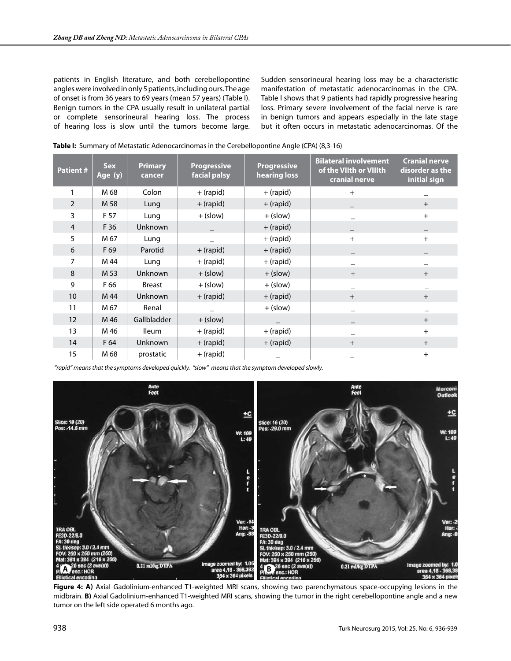patients in English literature, and both cerebellopontine angles were involved in only 5 patients, including ours. The age of onset is from 36 years to 69 years (mean 57 years) (Table I). Benign tumors in the CPA usually result in unilateral partial or complete sensorineural hearing loss. The process of hearing loss is slow until the tumors become large. Sudden sensorineural hearing loss may be a characteristic manifestation of metastatic adenocarcinomas in the CPA. Table I shows that 9 patients had rapidly progressive hearing loss. Primary severe involvement of the facial nerve is rare in benign tumors and appears especially in the late stage but it often occurs in metastatic adenocarcinomas. Of the

| <b>Patient#</b> | <b>Sex</b><br>Age (y) | <b>Primary</b><br>cancer | <b>Progressive</b><br>facial palsy | <b>Progressive</b><br>hearing loss | <b>Bilateral involvement</b><br>of the VIIth or VIIIth<br>cranial nerve | <b>Cranial nerve</b><br>disorder as the<br>initial sign |
|-----------------|-----------------------|--------------------------|------------------------------------|------------------------------------|-------------------------------------------------------------------------|---------------------------------------------------------|
|                 | M 68                  | Colon                    | + (rapid)                          | $+$ (rapid)                        | $+$                                                                     |                                                         |
| $\overline{2}$  | M 58                  | Lung                     | $+$ (rapid)                        | $+$ (rapid)                        |                                                                         | $+$                                                     |
| 3               | F 57                  | Lung                     | $+$ (slow)                         | $+$ (slow)                         |                                                                         | $+$                                                     |
| $\overline{4}$  | F 36                  | <b>Unknown</b>           |                                    | $+$ (rapid)                        |                                                                         |                                                         |
| 5               | M 67                  | Lung                     |                                    | $+$ (rapid)                        | $+$                                                                     | $+$                                                     |
| 6               | F 69                  | Parotid                  | + (rapid)                          | $+$ (rapid)                        |                                                                         |                                                         |
| 7               | M 44                  | Lung                     | + (rapid)                          | + (rapid)                          |                                                                         |                                                         |
| 8               | M 53                  | <b>Unknown</b>           | $+$ (slow)                         | $+$ (slow)                         | $+$                                                                     | $+$                                                     |
| 9               | F 66                  | <b>Breast</b>            | $+$ (slow)                         | $+$ (slow)                         |                                                                         |                                                         |
| 10              | M 44                  | <b>Unknown</b>           | $+$ (rapid)                        | $+$ (rapid)                        | $+$                                                                     | $+$                                                     |
| 11              | M 67                  | Renal                    |                                    | $+$ (slow)                         |                                                                         |                                                         |
| 12              | M 46                  | Gallbladder              | $+$ (slow)                         |                                    |                                                                         | $+$                                                     |
| 13              | M 46                  | <b>Ileum</b>             | + (rapid)                          | + (rapid)                          |                                                                         | $+$                                                     |
| 14              | F 64                  | <b>Unknown</b>           | $+$ (rapid)                        | $+$ (rapid)                        | $+$                                                                     | $+$                                                     |
| 15              | M 68                  | prostatic                | + (rapid)                          |                                    |                                                                         | $\ddot{}$                                               |

| Table I: Summary of Metastatic Adenocarcinomas in the Cerebellopontine Angle (CPA) (8,3-16) |  |  |  |
|---------------------------------------------------------------------------------------------|--|--|--|
|---------------------------------------------------------------------------------------------|--|--|--|

 *"rapid" means that the symptoms developed quickly. "slow" means that the symptom developed slowly.*



**Figure 4: a)** Axial Gadolinium-enhanced T1-weighted MRI scans, showing two parenchymatous space-occupying lesions in the midbrain. **B)** Axial Gadolinium-enhanced T1-weighted MRI scans, showing the tumor in the right cerebellopontine angle and a new tumor on the left side operated 6 months ago.